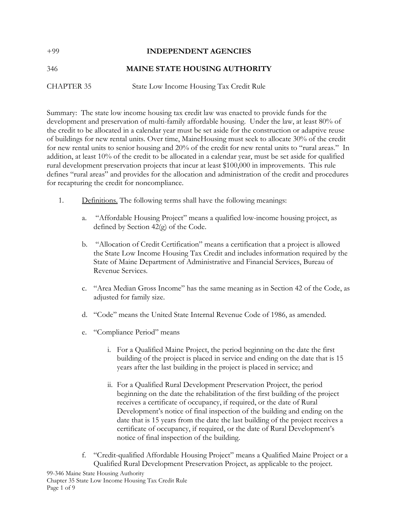## +99 **INDEPENDENT AGENCIES** 346 **MAINE STATE HOUSING AUTHORITY** CHAPTER 35 State Low Income Housing Tax Credit Rule

Summary: The state low income housing tax credit law was enacted to provide funds for the development and preservation of multi-family affordable housing. Under the law, at least 80% of the credit to be allocated in a calendar year must be set aside for the construction or adaptive reuse of buildings for new rental units. Over time, MaineHousing must seek to allocate 30% of the credit for new rental units to senior housing and 20% of the credit for new rental units to "rural areas." In addition, at least 10% of the credit to be allocated in a calendar year, must be set aside for qualified rural development preservation projects that incur at least \$100,000 in improvements. This rule defines "rural areas" and provides for the allocation and administration of the credit and procedures for recapturing the credit for noncompliance.

- 1. Definitions. The following terms shall have the following meanings:
	- a. "Affordable Housing Project" means a qualified low-income housing project, as defined by Section 42(g) of the Code.
	- b. "Allocation of Credit Certification" means a certification that a project is allowed the State Low Income Housing Tax Credit and includes information required by the State of Maine Department of Administrative and Financial Services, Bureau of Revenue Services.
	- c. "Area Median Gross Income" has the same meaning as in Section 42 of the Code, as adjusted for family size.
	- d. "Code" means the United State Internal Revenue Code of 1986, as amended.
	- e. "Compliance Period" means
		- i. For a Qualified Maine Project, the period beginning on the date the first building of the project is placed in service and ending on the date that is 15 years after the last building in the project is placed in service; and
		- ii. For a Qualified Rural Development Preservation Project, the period beginning on the date the rehabilitation of the first building of the project receives a certificate of occupancy, if required, or the date of Rural Development's notice of final inspection of the building and ending on the date that is 15 years from the date the last building of the project receives a certificate of occupancy, if required, or the date of Rural Development's notice of final inspection of the building.
	- f. "Credit-qualified Affordable Housing Project" means a Qualified Maine Project or a Qualified Rural Development Preservation Project, as applicable to the project.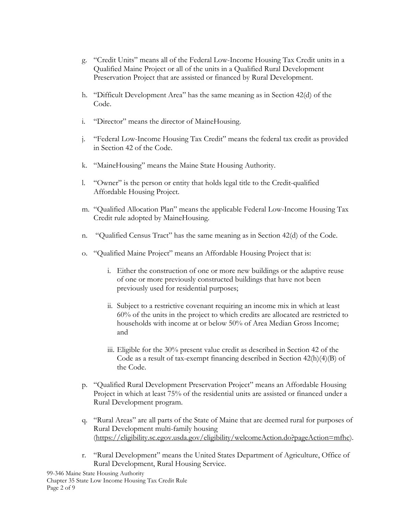- g. "Credit Units" means all of the Federal Low-Income Housing Tax Credit units in a Qualified Maine Project or all of the units in a Qualified Rural Development Preservation Project that are assisted or financed by Rural Development.
- h. "Difficult Development Area" has the same meaning as in Section 42(d) of the Code.
- i. "Director" means the director of MaineHousing.
- j. "Federal Low-Income Housing Tax Credit" means the federal tax credit as provided in Section 42 of the Code.
- k. "MaineHousing" means the Maine State Housing Authority.
- l. "Owner" is the person or entity that holds legal title to the Credit-qualified Affordable Housing Project.
- m. "Qualified Allocation Plan" means the applicable Federal Low-Income Housing Tax Credit rule adopted by MaineHousing.
- n. "Qualified Census Tract" has the same meaning as in Section 42(d) of the Code.
- o. "Qualified Maine Project" means an Affordable Housing Project that is:
	- i. Either the construction of one or more new buildings or the adaptive reuse of one or more previously constructed buildings that have not been previously used for residential purposes;
	- ii. Subject to a restrictive covenant requiring an income mix in which at least 60% of the units in the project to which credits are allocated are restricted to households with income at or below 50% of Area Median Gross Income; and
	- iii. Eligible for the 30% present value credit as described in Section 42 of the Code as a result of tax-exempt financing described in Section 42(h)(4)(B) of the Code.
- p. "Qualified Rural Development Preservation Project" means an Affordable Housing Project in which at least 75% of the residential units are assisted or financed under a Rural Development program.
- q. "Rural Areas" are all parts of the State of Maine that are deemed rural for purposes of Rural Development multi-family housing [\(https://eligibility.sc.egov.usda.gov/eligibility/welcomeAction.do?pageAction=mfhc\)](https://urldefense.proofpoint.com/v2/url?u=https-3A__eligibility.sc.egov.usda.gov_eligibility_welcomeAction.do-3FpageAction-3Dmfhc&d=DwMDaQ&c=euGZstcaTDllvimEN8b7jXrwqOf-v5A_CdpgnVfiiMM&r=88ij1bt_gMKD5hzZvFlhNI3GnufJRnSgkAmW_QmMBS8&m=QhEl_L5hqbaYcil8MVSxB_34to9_A9phz4RtJG8cm_w&s=WnwfJvh9OwoZds0oLtg-WD_ZM4o5fsOk46chYdD2Z8M&e=).
- r. "Rural Development" means the United States Department of Agriculture, Office of Rural Development, Rural Housing Service.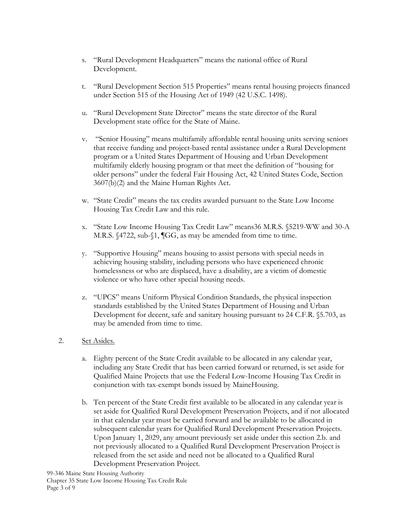- s. "Rural Development Headquarters" means the national office of Rural Development.
- t. "Rural Development Section 515 Properties" means rental housing projects financed under Section 515 of the Housing Act of 1949 (42 U.S.C. 1498).
- u. "Rural Development State Director" means the state director of the Rural Development state office for the State of Maine.
- v. "Senior Housing" means multifamily affordable rental housing units serving seniors that receive funding and project-based rental assistance under a Rural Development program or a United States Department of Housing and Urban Development multifamily elderly housing program or that meet the definition of "housing for older persons" under the federal Fair Housing Act, 42 United States Code, Section 3607(b)(2) and the Maine Human Rights Act.
- w. "State Credit" means the tax credits awarded pursuant to the State Low Income Housing Tax Credit Law and this rule.
- x. "State Low Income Housing Tax Credit Law" means36 M.R.S. §5219-WW and 30-A M.R.S. §4722, sub-§1, ¶GG, as may be amended from time to time.
- y. "Supportive Housing" means housing to assist persons with special needs in achieving housing stability, including persons who have experienced chronic homelessness or who are displaced, have a disability, are a victim of domestic violence or who have other special housing needs.
- z. "UPCS" means Uniform Physical Condition Standards, the physical inspection standards established by the United States Department of Housing and Urban Development for decent, safe and sanitary housing pursuant to 24 C.F.R. §5.703, as may be amended from time to time.
- 2. Set Asides.
	- a. Eighty percent of the State Credit available to be allocated in any calendar year, including any State Credit that has been carried forward or returned, is set aside for Qualified Maine Projects that use the Federal Low-Income Housing Tax Credit in conjunction with tax-exempt bonds issued by MaineHousing.
	- b. Ten percent of the State Credit first available to be allocated in any calendar year is set aside for Qualified Rural Development Preservation Projects, and if not allocated in that calendar year must be carried forward and be available to be allocated in subsequent calendar years for Qualified Rural Development Preservation Projects. Upon January 1, 2029, any amount previously set aside under this section 2.b. and not previously allocated to a Qualified Rural Development Preservation Project is released from the set aside and need not be allocated to a Qualified Rural Development Preservation Project.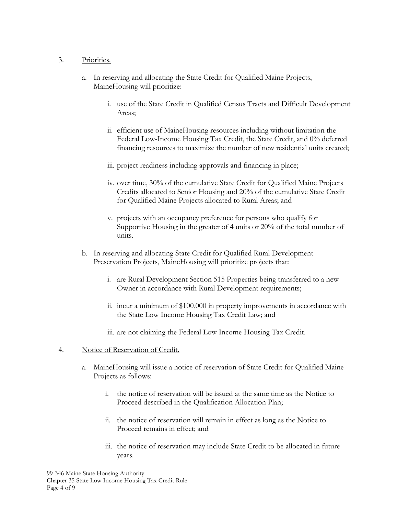## 3. Priorities.

- a. In reserving and allocating the State Credit for Qualified Maine Projects, MaineHousing will prioritize:
	- i. use of the State Credit in Qualified Census Tracts and Difficult Development Areas;
	- ii. efficient use of MaineHousing resources including without limitation the Federal Low-Income Housing Tax Credit, the State Credit, and 0% deferred financing resources to maximize the number of new residential units created;
	- iii. project readiness including approvals and financing in place;
	- iv. over time, 30% of the cumulative State Credit for Qualified Maine Projects Credits allocated to Senior Housing and 20% of the cumulative State Credit for Qualified Maine Projects allocated to Rural Areas; and
	- v. projects with an occupancy preference for persons who qualify for Supportive Housing in the greater of 4 units or 20% of the total number of units.
- b. In reserving and allocating State Credit for Qualified Rural Development Preservation Projects, MaineHousing will prioritize projects that:
	- i. are Rural Development Section 515 Properties being transferred to a new Owner in accordance with Rural Development requirements;
	- ii. incur a minimum of \$100,000 in property improvements in accordance with the State Low Income Housing Tax Credit Law; and
	- iii. are not claiming the Federal Low Income Housing Tax Credit.
- 4. Notice of Reservation of Credit.
	- a. MaineHousing will issue a notice of reservation of State Credit for Qualified Maine Projects as follows:
		- i. the notice of reservation will be issued at the same time as the Notice to Proceed described in the Qualification Allocation Plan;
		- ii. the notice of reservation will remain in effect as long as the Notice to Proceed remains in effect; and
		- iii. the notice of reservation may include State Credit to be allocated in future years.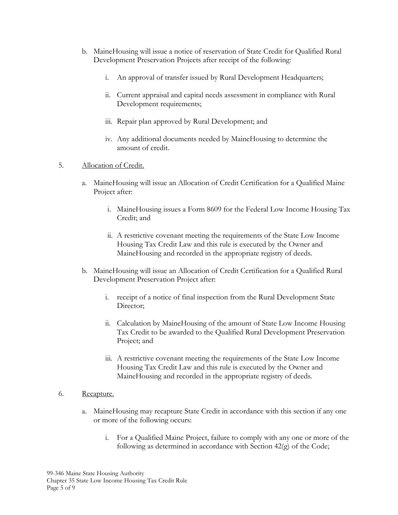- b. MaineHousing will issue a notice of reservation of State Credit for Qualified Rural Development Preservation Projects after receipt of the following:
	- i. An approval of transfer issued by Rural Development Headquarters;
	- ii. Current appraisal and capital needs assessment in compliance with Rural Development requirements;
	- iii. Repair plan approved by Rural Development; and
	- iv. Any additional documents needed by MaineHousing to determine the amount of credit.
- 5. Allocation of Credit.
	- a. MaineHousing will issue an Allocation of Credit Certification for a Qualified Maine Project after:
		- i. MaineHousing issues a Form 8609 for the Federal Low Income Housing Tax Credit; and
		- ii. A restrictive covenant meeting the requirements of the State Low Income Housing Tax Credit Law and this rule is executed by the Owner and MaineHousing and recorded in the appropriate registry of deeds.
	- b. MaineHousing will issue an Allocation of Credit Certification for a Qualified Rural Development Preservation Project after:
		- i. receipt of a notice of final inspection from the Rural Development State Director:
		- ii. Calculation by MaineHousing of the amount of State Low Income Housing Tax Credit to be awarded to the Qualified Rural Development Preservation Project; and
		- iii. A restrictive covenant meeting the requirements of the State Low Income Housing Tax Credit Law and this rule is executed by the Owner and MaineHousing and recorded in the appropriate registry of deeds.

## 6. Recapture.

- a. MaineHousing may recapture State Credit in accordance with this section if any one or more of the following occurs:
	- i. For a Qualified Maine Project, failure to comply with any one or more of the following as determined in accordance with Section 42(g) of the Code;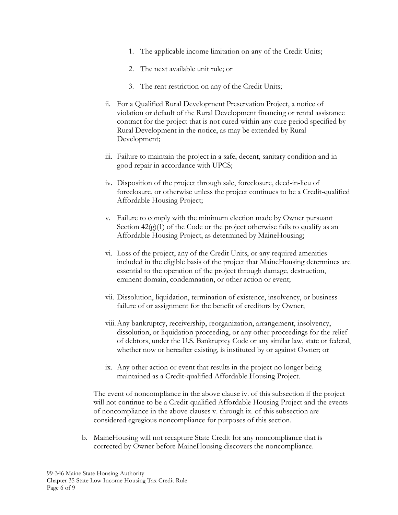- 1. The applicable income limitation on any of the Credit Units;
- 2. The next available unit rule; or
- 3. The rent restriction on any of the Credit Units;
- ii. For a Qualified Rural Development Preservation Project, a notice of violation or default of the Rural Development financing or rental assistance contract for the project that is not cured within any cure period specified by Rural Development in the notice, as may be extended by Rural Development;
- iii. Failure to maintain the project in a safe, decent, sanitary condition and in good repair in accordance with UPCS;
- iv. Disposition of the project through sale, foreclosure, deed-in-lieu of foreclosure, or otherwise unless the project continues to be a Credit-qualified Affordable Housing Project;
- v. Failure to comply with the minimum election made by Owner pursuant Section  $42(g)(1)$  of the Code or the project otherwise fails to qualify as an Affordable Housing Project, as determined by MaineHousing;
- vi. Loss of the project, any of the Credit Units, or any required amenities included in the eligible basis of the project that MaineHousing determines are essential to the operation of the project through damage, destruction, eminent domain, condemnation, or other action or event;
- vii. Dissolution, liquidation, termination of existence, insolvency, or business failure of or assignment for the benefit of creditors by Owner;
- viii.Any bankruptcy, receivership, reorganization, arrangement, insolvency, dissolution, or liquidation proceeding, or any other proceedings for the relief of debtors, under the U.S. Bankruptcy Code or any similar law, state or federal, whether now or hereafter existing, is instituted by or against Owner; or
- ix. Any other action or event that results in the project no longer being maintained as a Credit-qualified Affordable Housing Project.

The event of noncompliance in the above clause iv. of this subsection if the project will not continue to be a Credit-qualified Affordable Housing Project and the events of noncompliance in the above clauses v. through ix. of this subsection are considered egregious noncompliance for purposes of this section.

b. MaineHousing will not recapture State Credit for any noncompliance that is corrected by Owner before MaineHousing discovers the noncompliance.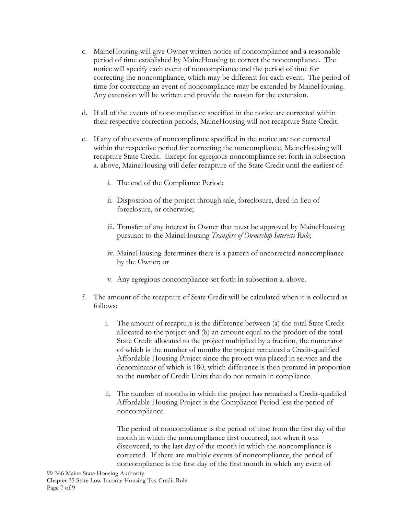- c. MaineHousing will give Owner written notice of noncompliance and a reasonable period of time established by MaineHousing to correct the noncompliance. The notice will specify each event of noncompliance and the period of time for correcting the noncompliance, which may be different for each event. The period of time for correcting an event of noncompliance may be extended by MaineHousing. Any extension will be written and provide the reason for the extension.
- d. If all of the events of noncompliance specified in the notice are corrected within their respective correction periods, MaineHousing will not recapture State Credit.
- e. If any of the events of noncompliance specified in the notice are not corrected within the respective period for correcting the noncompliance, MaineHousing will recapture State Credit. Except for egregious noncompliance set forth in subsection a. above, MaineHousing will defer recapture of the State Credit until the earliest of:
	- i. The end of the Compliance Period;
	- ii. Disposition of the project through sale, foreclosure, deed-in-lieu of foreclosure, or otherwise;
	- iii. Transfer of any interest in Owner that must be approved by MaineHousing pursuant to the MaineHousing *Transfers of Ownership Interests Rule*;
	- iv. MaineHousing determines there is a pattern of uncorrected noncompliance by the Owner; or
	- v. Any egregious noncompliance set forth in subsection a. above.
- f. The amount of the recapture of State Credit will be calculated when it is collected as follows:
	- i. The amount of recapture is the difference between (a) the total State Credit allocated to the project and (b) an amount equal to the product of the total State Credit allocated to the project multiplied by a fraction, the numerator of which is the number of months the project remained a Credit-qualified Affordable Housing Project since the project was placed in service and the denominator of which is 180, which difference is then prorated in proportion to the number of Credit Units that do not remain in compliance.
	- ii. The number of months in which the project has remained a Credit-qualified Affordable Housing Project is the Compliance Period less the period of noncompliance.

The period of noncompliance is the period of time from the first day of the month in which the noncompliance first occurred, not when it was discovered, to the last day of the month in which the noncompliance is corrected. If there are multiple events of noncompliance, the period of noncompliance is the first day of the first month in which any event of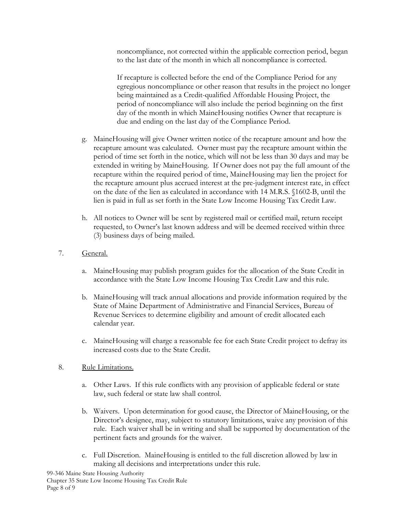noncompliance, not corrected within the applicable correction period, began to the last date of the month in which all noncompliance is corrected.

If recapture is collected before the end of the Compliance Period for any egregious noncompliance or other reason that results in the project no longer being maintained as a Credit-qualified Affordable Housing Project, the period of noncompliance will also include the period beginning on the first day of the month in which MaineHousing notifies Owner that recapture is due and ending on the last day of the Compliance Period.

- g. MaineHousing will give Owner written notice of the recapture amount and how the recapture amount was calculated. Owner must pay the recapture amount within the period of time set forth in the notice, which will not be less than 30 days and may be extended in writing by MaineHousing. If Owner does not pay the full amount of the recapture within the required period of time, MaineHousing may lien the project for the recapture amount plus accrued interest at the pre-judgment interest rate, in effect on the date of the lien as calculated in accordance with 14 M.R.S. §1602-B, until the lien is paid in full as set forth in the State Low Income Housing Tax Credit Law.
- h. All notices to Owner will be sent by registered mail or certified mail, return receipt requested, to Owner's last known address and will be deemed received within three (3) business days of being mailed.
- 7. General.
	- a. MaineHousing may publish program guides for the allocation of the State Credit in accordance with the State Low Income Housing Tax Credit Law and this rule.
	- b. MaineHousing will track annual allocations and provide information required by the State of Maine Department of Administrative and Financial Services, Bureau of Revenue Services to determine eligibility and amount of credit allocated each calendar year.
	- c. MaineHousing will charge a reasonable fee for each State Credit project to defray its increased costs due to the State Credit.
- 8. Rule Limitations.
	- a. Other Laws. If this rule conflicts with any provision of applicable federal or state law, such federal or state law shall control.
	- b. Waivers. Upon determination for good cause, the Director of MaineHousing, or the Director's designee, may, subject to statutory limitations, waive any provision of this rule. Each waiver shall be in writing and shall be supported by documentation of the pertinent facts and grounds for the waiver.
	- c. Full Discretion. MaineHousing is entitled to the full discretion allowed by law in making all decisions and interpretations under this rule.